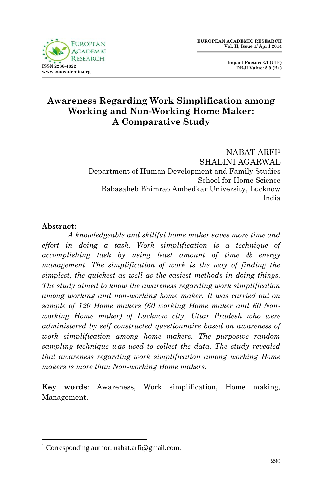

 **Impact Factor: 3.1 (UIF) DRJI Value: 5.9 (B+)**

# **Awareness Regarding Work Simplification among Working and Non-Working Home Maker: A Comparative Study**

NABAT ARFI<sup>1</sup> SHALINI AGARWAL Department of Human Development and Family Studies School for Home Science Babasaheb Bhimrao Ambedkar University, Lucknow India

#### **Abstract:**

*A knowledgeable and skillful home maker saves more time and effort in doing a task. Work simplification is a technique of accomplishing task by using least amount of time & energy management. The simplification of work is the way of finding the simplest, the quickest as well as the easiest methods in doing things. The study aimed to know the awareness regarding work simplification among working and non-working home maker. It was carried out on sample of 120 Home makers (60 working Home maker and 60 Nonworking Home maker) of Lucknow city, Uttar Pradesh who were administered by self constructed questionnaire based on awareness of work simplification among home makers. The purposive random sampling technique was used to collect the data. The study revealed that awareness regarding work simplification among working Home makers is more than Non-working Home makers.*

**Key words**: Awareness, Work simplification, Home making, Management.

**<sup>.</sup>** <sup>1</sup> Corresponding author: nabat.arfi@gmail.com.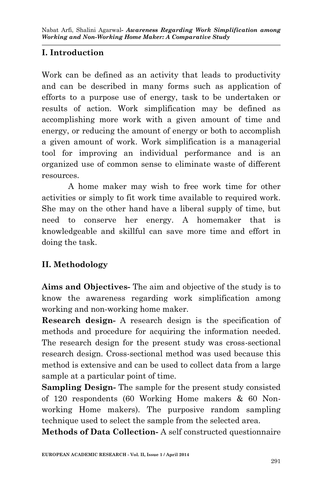# **I. Introduction**

Work can be defined as an activity that leads to productivity and can be described in many forms such as application of efforts to a purpose use of energy, task to be undertaken or results of action. Work simplification may be defined as accomplishing more work with a given amount of time and energy, or reducing the amount of energy or both to accomplish a given amount of work. Work simplification is a managerial tool for improving an individual performance and is an organized use of common sense to eliminate waste of different resources.

A home maker may wish to free work time for other activities or simply to fit work time available to required work. She may on the other hand have a liberal supply of time, but need to conserve her energy. A homemaker that is knowledgeable and skillful can save more time and effort in doing the task.

## **II. Methodology**

**Aims and Objectives-** The aim and objective of the study is to know the awareness regarding work simplification among working and non-working home maker.

**Research design-** A research design is the specification of methods and procedure for acquiring the information needed. The research design for the present study was cross-sectional research design. Cross-sectional method was used because this method is extensive and can be used to collect data from a large sample at a particular point of time.

**Sampling Design-** The sample for the present study consisted of 120 respondents (60 Working Home makers & 60 Nonworking Home makers). The purposive random sampling technique used to select the sample from the selected area.

**Methods of Data Collection-** A self constructed questionnaire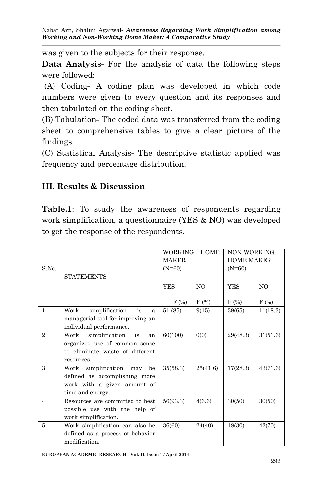Nabat Arfi, Shalini Agarwal*- Awareness Regarding Work Simplification among Working and Non-Working Home Maker: A Comparative Study*

was given to the subjects for their response.

**Data Analysis-** For the analysis of data the following steps were followed:

(A) Coding**-** A coding plan was developed in which code numbers were given to every question and its responses and then tabulated on the coding sheet.

(B) Tabulation**-** The coded data was transferred from the coding sheet to comprehensive tables to give a clear picture of the findings.

(C) Statistical Analysis**-** The descriptive statistic applied was frequency and percentage distribution.

### **III. Results & Discussion**

**Table.1**: To study the awareness of respondents regarding work simplification, a questionnaire (YES & NO) was developed to get the response of the respondents.

|                |                                     | <b>HOME</b><br><b>WORKING</b> |                | NON-WORKING       |          |
|----------------|-------------------------------------|-------------------------------|----------------|-------------------|----------|
|                |                                     | <b>MAKER</b>                  |                | <b>HOME MAKER</b> |          |
| S.No.          |                                     | $(N=60)$                      |                | $(N=60)$          |          |
|                | <b>STATEMENTS</b>                   |                               |                |                   |          |
|                |                                     | <b>YES</b>                    | N <sub>O</sub> | <b>YES</b>        | NO       |
|                |                                     |                               |                |                   |          |
|                |                                     | $F(\%)$                       | $F$ (%)        | $F(\%)$           | $F(\%)$  |
| $\mathbf{1}$   | Work<br>simplification<br>is<br>a   | 51 (85)                       | 9(15)          | 39(65)            | 11(18.3) |
|                | managerial tool for improving an    |                               |                |                   |          |
|                | individual performance.             |                               |                |                   |          |
| $\overline{2}$ | is<br>Work<br>simplification<br>an  | 60(100)                       | 0(0)           | 29(48.3)          | 31(51.6) |
|                | organized use of common sense       |                               |                |                   |          |
|                | to eliminate waste of different     |                               |                |                   |          |
|                | resources.                          |                               |                |                   |          |
| 3              | simplification<br>Work<br>be<br>may | 35(58.3)                      | 25(41.6)       | 17(28.3)          | 43(71.6) |
|                | defined as accomplishing more       |                               |                |                   |          |
|                | work with a given amount of         |                               |                |                   |          |
|                | time and energy.                    |                               |                |                   |          |
| $\overline{4}$ | Resources are committed to best     | 56(93.3)                      | 4(6.6)         | 30(50)            | 30(50)   |
|                | possible use with the help of       |                               |                |                   |          |
|                | work simplification.                |                               |                |                   |          |
| 5              | Work simplification can also be     | 36(60)                        | 24(40)         | 18(30)            | 42(70)   |
|                | defined as a process of behavior    |                               |                |                   |          |
|                | modification.                       |                               |                |                   |          |

**EUROPEAN ACADEMIC RESEARCH - Vol. II, Issue 1 / April 2014**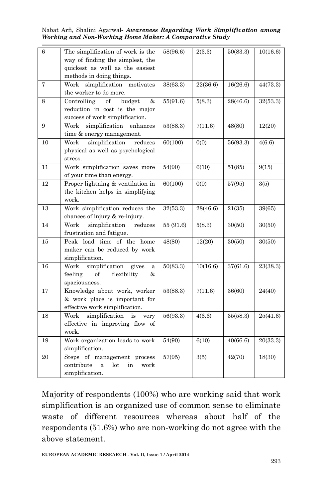Nabat Arfi, Shalini Agarwal*- Awareness Regarding Work Simplification among Working and Non-Working Home Maker: A Comparative Study*

| 6  | The simplification of work is the<br>way of finding the simplest, the<br>quickest as well as the easiest<br>methods in doing things. | 58(96.6)  | 2(3.3)   | 50(83.3) | 10(16.6) |
|----|--------------------------------------------------------------------------------------------------------------------------------------|-----------|----------|----------|----------|
| 7  | Work simplification<br>motivates<br>the worker to do more.                                                                           | 38(63.3)  | 22(36.6) | 16(26.6) | 44(73.3) |
| 8  | of<br>budget<br>&<br>Controlling<br>reduction in cost is the major<br>success of work simplification.                                | 55(91.6)  | 5(8.3)   | 28(46.6) | 32(53.3) |
| 9  | simplification<br>Work<br>enhances<br>time & energy management.                                                                      | 53(88.3)  | 7(11.6)  | 48(80)   | 12(20)   |
| 10 | simplification<br>Work<br>reduces<br>physical as well as psychological<br>stress.                                                    | 60(100)   | 0(0)     | 56(93.3) | 4(6.6)   |
| 11 | Work simplification saves more<br>of your time than energy.                                                                          | 54(90)    | 6(10)    | 51(85)   | 9(15)    |
| 12 | Proper lightning & ventilation in<br>the kitchen helps in simplifying<br>work.                                                       | 60(100)   | 0(0)     | 57(95)   | 3(5)     |
| 13 | Work simplification reduces the<br>chances of injury & re-injury.                                                                    | 32(53.3)  | 28(46.6) | 21(35)   | 39(65)   |
| 14 | simplification<br>Work<br>reduces<br>frustration and fatigue.                                                                        | 55 (91.6) | 5(8.3)   | 30(50)   | 30(50)   |
| 15 | Peak load time of the home<br>maker can be reduced by work<br>simplification.                                                        | 48(80)    | 12(20)   | 30(50)   | 30(50)   |
| 16 | simplification<br>Work<br>gives<br>a<br>feeling<br>of<br>flexibility<br>&<br>spaciousness.                                           | 50(83.3)  | 10(16.6) | 37(61.6) | 23(38.3) |
| 17 | Knowledge about work, worker<br>& work place is important for<br>effective work simplification.                                      | 53(88.3)  | 7(11.6)  | 36(60)   | 24(40)   |
| 18 | simplification<br>Work<br>is<br>very<br>effective in improving flow of<br>work.                                                      | 56(93.3)  | 4(6.6)   | 35(58.3) | 25(41.6) |
| 19 | Work organization leads to work<br>simplification.                                                                                   | 54(90)    | 6(10)    | 40(66.6) | 20(33.3) |
| 20 | Steps of management process<br>contribute<br>lot<br>work<br>a<br>in<br>simplification.                                               | 57(95)    | 3(5)     | 42(70)   | 18(30)   |

Majority of respondents (100%) who are working said that work simplification is an organized use of common sense to eliminate waste of different resources whereas about half of the respondents (51.6%) who are non-working do not agree with the above statement.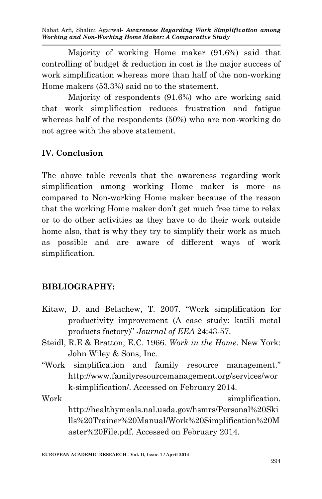Nabat Arfi, Shalini Agarwal*- Awareness Regarding Work Simplification among Working and Non-Working Home Maker: A Comparative Study*

Majority of working Home maker (91.6%) said that controlling of budget & reduction in cost is the major success of work simplification whereas more than half of the non-working Home makers (53.3%) said no to the statement.

Majority of respondents (91.6%) who are working said that work simplification reduces frustration and fatigue whereas half of the respondents (50%) who are non-working do not agree with the above statement.

## **IV. Conclusion**

The above table reveals that the awareness regarding work simplification among working Home maker is more as compared to Non-working Home maker because of the reason that the working Home maker don't get much free time to relax or to do other activities as they have to do their work outside home also, that is why they try to simplify their work as much as possible and are aware of different ways of work simplification.

### **BIBLIOGRAPHY:**

- Kitaw, D. and Belachew, T. 2007. "Work simplification for productivity improvement (A case study: katili metal products factory)" *Journal of EEA* 24:43-57.
- Steidl, R.E & Bratton, E.C. 1966. *Work in the Home*. New York: John Wiley & Sons, Inc.
- "Work simplification and family resource management." http://www.familyresourcemanagement.org/services/wor k-simplification/. Accessed on February 2014.
- Work simplification. http://healthymeals.nal.usda.gov/hsmrs/Personal%20Ski lls%20Trainer%20Manual/Work%20Simplification%20M aster%20File.pdf. Accessed on February 2014.